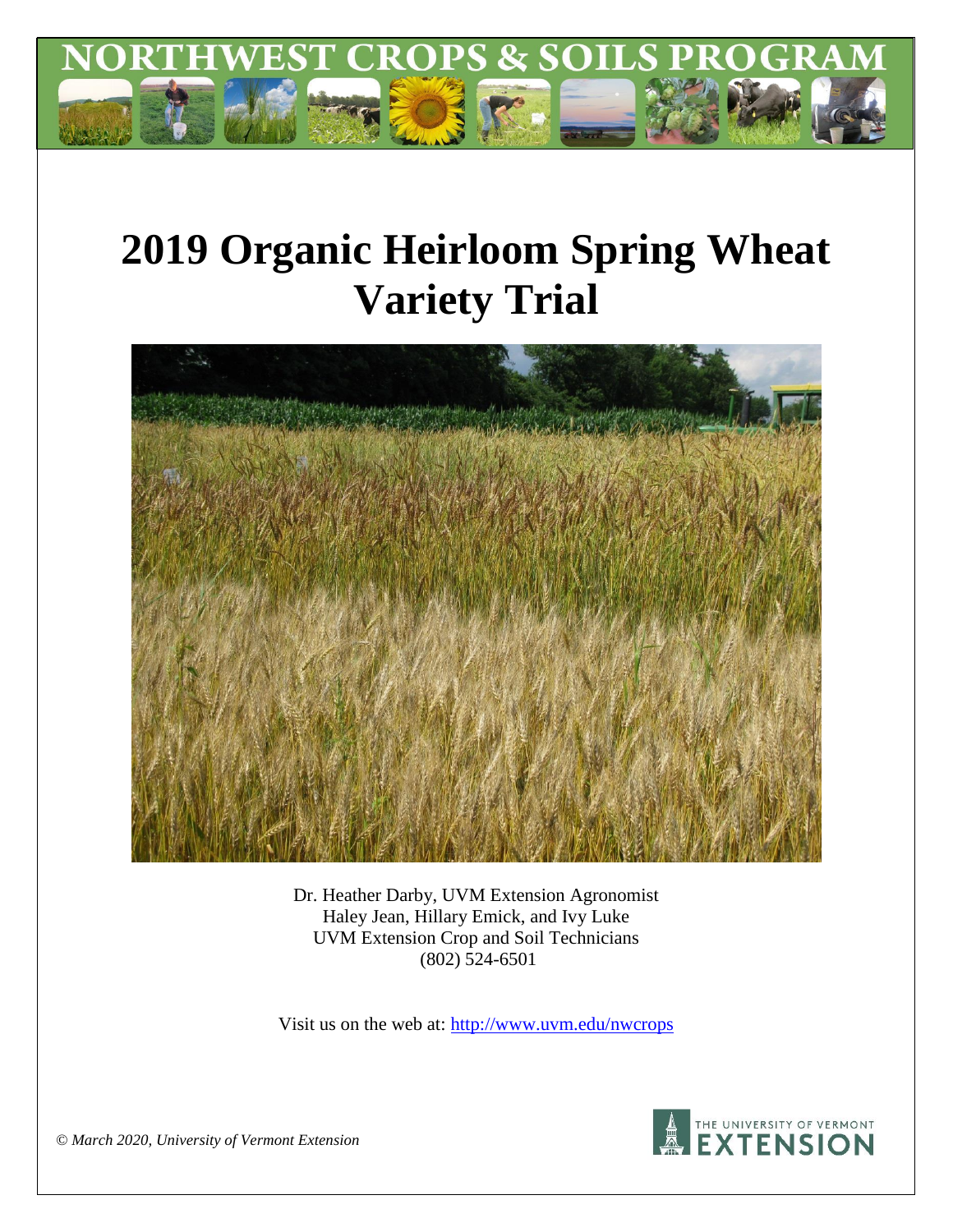

# **2019 Organic Heirloom Spring Wheat Variety Trial**



Dr. Heather Darby, UVM Extension Agronomist Haley Jean, Hillary Emick, and Ivy Luke UVM Extension Crop and Soil Technicians (802) 524-6501

Visit us on the web at:<http://www.uvm.edu/nwcrops>



*© March 2020, University of Vermont Extension*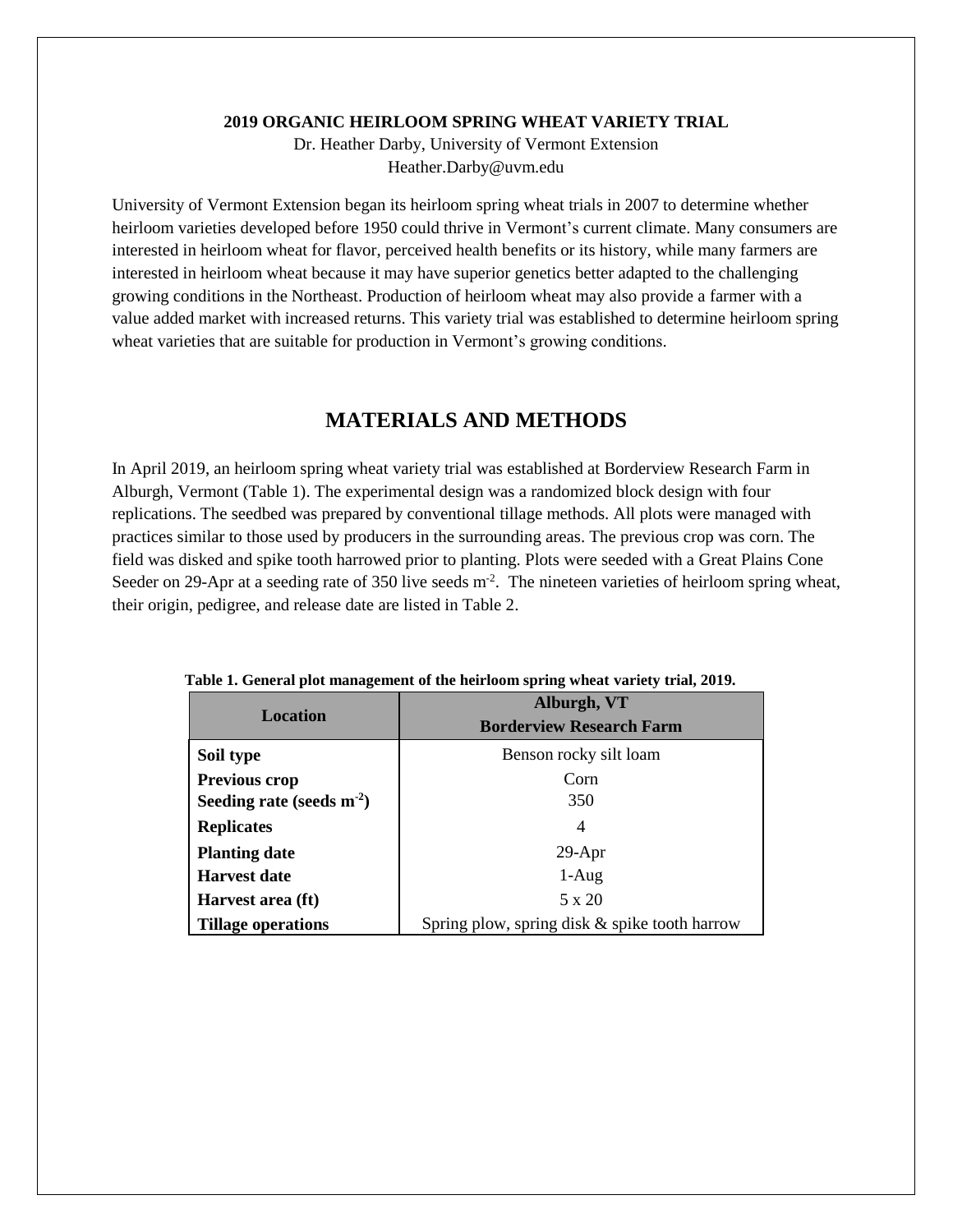#### **2019 ORGANIC HEIRLOOM SPRING WHEAT VARIETY TRIAL**

Dr. Heather Darby, University of Vermont Extension Heather.Darby@uvm.edu

University of Vermont Extension began its heirloom spring wheat trials in 2007 to determine whether heirloom varieties developed before 1950 could thrive in Vermont's current climate. Many consumers are interested in heirloom wheat for flavor, perceived health benefits or its history, while many farmers are interested in heirloom wheat because it may have superior genetics better adapted to the challenging growing conditions in the Northeast. Production of heirloom wheat may also provide a farmer with a value added market with increased returns. This variety trial was established to determine heirloom spring wheat varieties that are suitable for production in Vermont's growing conditions.

## **MATERIALS AND METHODS**

In April 2019, an heirloom spring wheat variety trial was established at Borderview Research Farm in Alburgh, Vermont (Table 1). The experimental design was a randomized block design with four replications. The seedbed was prepared by conventional tillage methods. All plots were managed with practices similar to those used by producers in the surrounding areas. The previous crop was corn. The field was disked and spike tooth harrowed prior to planting. Plots were seeded with a Great Plains Cone Seeder on 29-Apr at a seeding rate of 350 live seeds m<sup>-2</sup>. The nineteen varieties of heirloom spring wheat, their origin, pedigree, and release date are listed in Table 2.

| Location                       | Alburgh, VT<br><b>Borderview Research Farm</b> |  |  |
|--------------------------------|------------------------------------------------|--|--|
|                                |                                                |  |  |
| Soil type                      | Benson rocky silt loam                         |  |  |
| Previous crop                  | Corn                                           |  |  |
| Seeding rate (seeds $m^{-2}$ ) | 350                                            |  |  |
| <b>Replicates</b>              | 4                                              |  |  |
| <b>Planting date</b>           | $29-Apr$                                       |  |  |
| <b>Harvest date</b>            | $1-Aug$                                        |  |  |
| Harvest area (ft)              | $5 \times 20$                                  |  |  |
| <b>Tillage operations</b>      | Spring plow, spring disk & spike tooth harrow  |  |  |

 **Table 1. General plot management of the heirloom spring wheat variety trial, 2019.**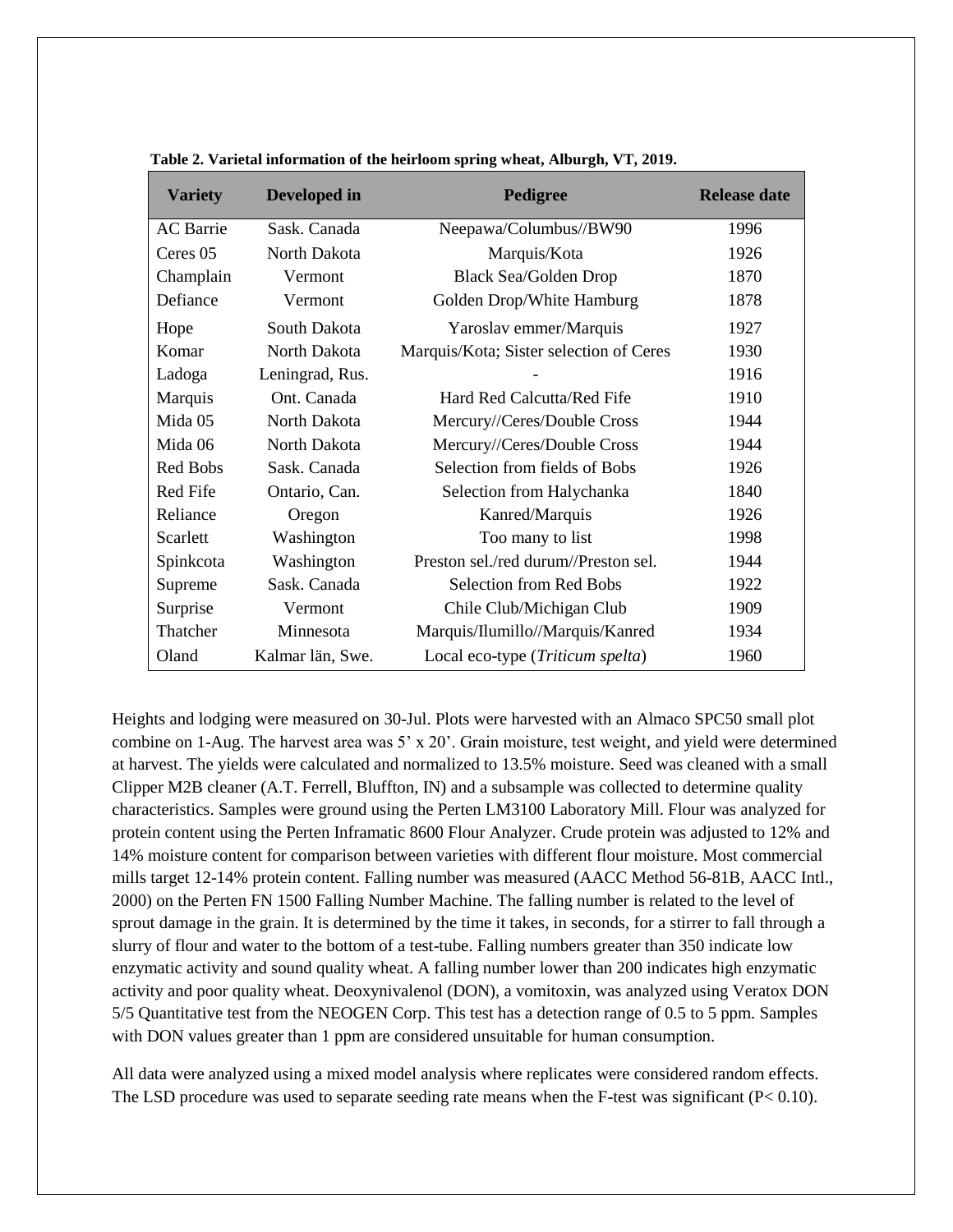| <b>Variety</b>   | Developed in     | Pedigree                                | <b>Release date</b> |
|------------------|------------------|-----------------------------------------|---------------------|
| <b>AC</b> Barrie | Sask. Canada     | Neepawa/Columbus//BW90                  | 1996                |
| Ceres 05         | North Dakota     | Marquis/Kota                            | 1926                |
| Champlain        | Vermont          | <b>Black Sea/Golden Drop</b>            | 1870                |
| Defiance         | Vermont          | Golden Drop/White Hamburg               | 1878                |
| Hope             | South Dakota     | Yaroslav emmer/Marquis                  | 1927                |
| Komar            | North Dakota     | Marquis/Kota; Sister selection of Ceres | 1930                |
| Ladoga           | Leningrad, Rus.  |                                         | 1916                |
| Marquis          | Ont. Canada      | Hard Red Calcutta/Red Fife              | 1910                |
| Mida 05          | North Dakota     | Mercury//Ceres/Double Cross             | 1944                |
| Mida 06          | North Dakota     | Mercury//Ceres/Double Cross             | 1944                |
| Red Bobs         | Sask. Canada     | Selection from fields of Bobs           | 1926                |
| Red Fife         | Ontario, Can.    | Selection from Halychanka               | 1840                |
| Reliance         | Oregon           | Kanred/Marquis                          | 1926                |
| Scarlett         | Washington       | Too many to list                        | 1998                |
| Spinkcota        | Washington       | Preston sel./red durum//Preston sel.    | 1944                |
| Supreme          | Sask. Canada     | Selection from Red Bobs                 | 1922                |
| Surprise         | Vermont          | Chile Club/Michigan Club                | 1909                |
| Thatcher         | Minnesota        | Marquis/Ilumillo//Marquis/Kanred        | 1934                |
| Oland            | Kalmar län, Swe. | Local eco-type (Triticum spelta)        | 1960                |

 **Table 2. Varietal information of the heirloom spring wheat, Alburgh, VT, 2019.**

Heights and lodging were measured on 30-Jul. Plots were harvested with an Almaco SPC50 small plot combine on 1-Aug. The harvest area was 5' x 20'. Grain moisture, test weight, and yield were determined at harvest. The yields were calculated and normalized to 13.5% moisture. Seed was cleaned with a small Clipper M2B cleaner (A.T. Ferrell, Bluffton, IN) and a subsample was collected to determine quality characteristics. Samples were ground using the Perten LM3100 Laboratory Mill. Flour was analyzed for protein content using the Perten Inframatic 8600 Flour Analyzer. Crude protein was adjusted to 12% and 14% moisture content for comparison between varieties with different flour moisture. Most commercial mills target 12-14% protein content. Falling number was measured (AACC Method 56-81B, AACC Intl., 2000) on the Perten FN 1500 Falling Number Machine. The falling number is related to the level of sprout damage in the grain. It is determined by the time it takes, in seconds, for a stirrer to fall through a slurry of flour and water to the bottom of a test-tube. Falling numbers greater than 350 indicate low enzymatic activity and sound quality wheat. A falling number lower than 200 indicates high enzymatic activity and poor quality wheat. Deoxynivalenol (DON), a vomitoxin, was analyzed using Veratox DON 5/5 Quantitative test from the NEOGEN Corp. This test has a detection range of 0.5 to 5 ppm. Samples with DON values greater than 1 ppm are considered unsuitable for human consumption.

All data were analyzed using a mixed model analysis where replicates were considered random effects. The LSD procedure was used to separate seeding rate means when the F-test was significant  $(P< 0.10)$ .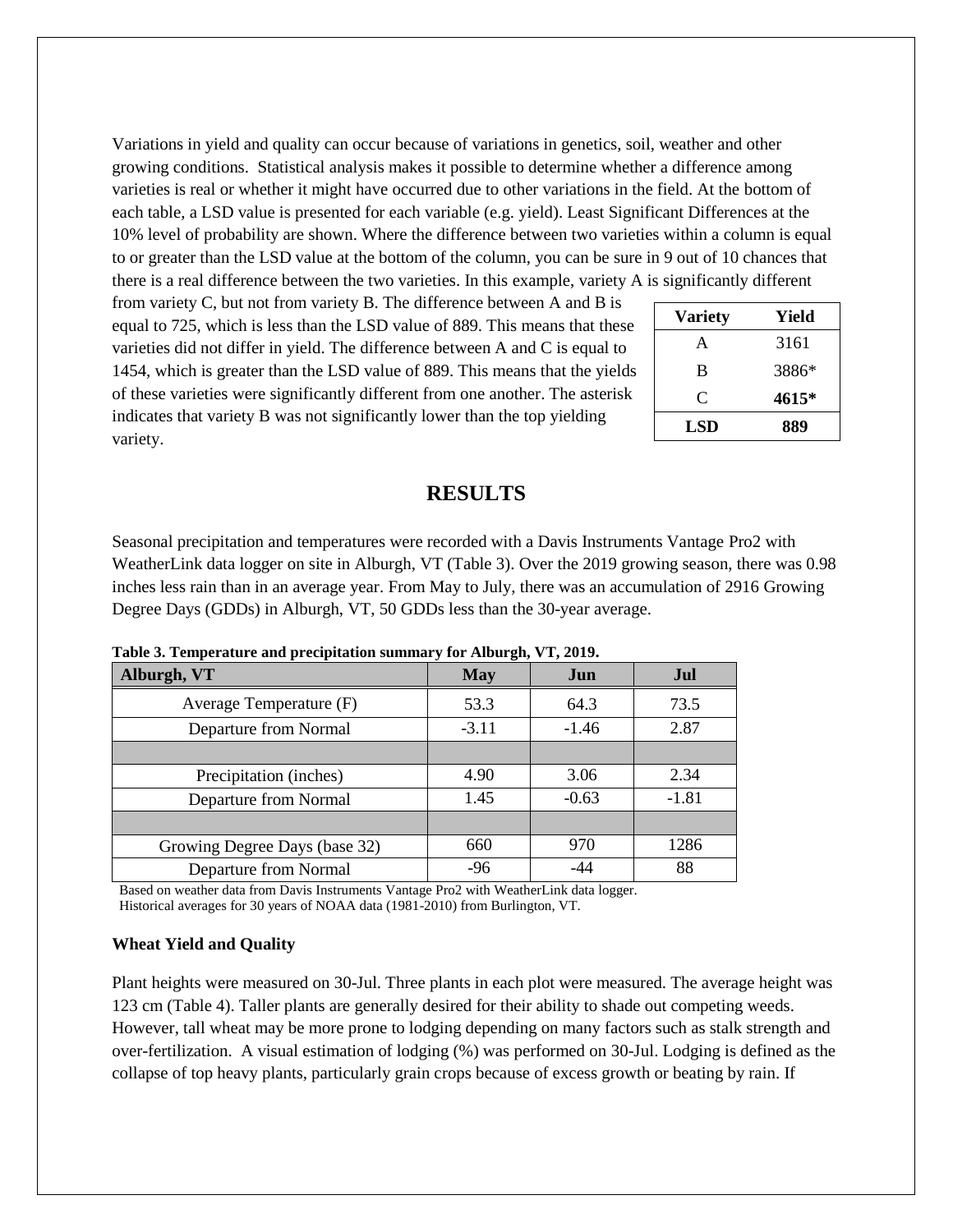Variations in yield and quality can occur because of variations in genetics, soil, weather and other growing conditions. Statistical analysis makes it possible to determine whether a difference among varieties is real or whether it might have occurred due to other variations in the field. At the bottom of each table, a LSD value is presented for each variable (e.g. yield). Least Significant Differences at the 10% level of probability are shown. Where the difference between two varieties within a column is equal to or greater than the LSD value at the bottom of the column, you can be sure in 9 out of 10 chances that there is a real difference between the two varieties. In this example, variety A is significantly different

from variety C, but not from variety B. The difference between A and B is equal to 725, which is less than the LSD value of 889. This means that these varieties did not differ in yield. The difference between A and C is equal to 1454, which is greater than the LSD value of 889. This means that the yields of these varieties were significantly different from one another. The asterisk indicates that variety B was not significantly lower than the top yielding variety.

| <b>Variety</b> | Yield |
|----------------|-------|
| A              | 3161  |
| B              | 3886* |
| C              | 4615* |
| LSD            | 889   |

### **RESULTS**

Seasonal precipitation and temperatures were recorded with a Davis Instruments Vantage Pro2 with WeatherLink data logger on site in Alburgh, VT (Table 3). Over the 2019 growing season, there was 0.98 inches less rain than in an average year. From May to July, there was an accumulation of 2916 Growing Degree Days (GDDs) in Alburgh, VT, 50 GDDs less than the 30-year average.

| Alburgh, VT                   | <b>May</b> | Jun     | .Jul    |
|-------------------------------|------------|---------|---------|
| Average Temperature (F)       | 53.3       | 64.3    | 73.5    |
| Departure from Normal         | $-3.11$    | $-1.46$ | 2.87    |
|                               |            |         |         |
| Precipitation (inches)        | 4.90       | 3.06    | 2.34    |
| Departure from Normal         | 1.45       | $-0.63$ | $-1.81$ |
|                               |            |         |         |
| Growing Degree Days (base 32) | 660        | 970     | 1286    |
| Departure from Normal         | $-96$      | -44     | 88      |

**Table 3. Temperature and precipitation summary for Alburgh, VT, 2019.**

Based on weather data from Davis Instruments Vantage Pro2 with WeatherLink data logger. Historical averages for 30 years of NOAA data (1981-2010) from Burlington, VT.

#### **Wheat Yield and Quality**

Plant heights were measured on 30-Jul. Three plants in each plot were measured. The average height was 123 cm (Table 4). Taller plants are generally desired for their ability to shade out competing weeds. However, tall wheat may be more prone to lodging depending on many factors such as stalk strength and over-fertilization. A visual estimation of lodging (%) was performed on 30-Jul. Lodging is defined as the collapse of top heavy plants, particularly grain crops because of excess growth or beating by rain. If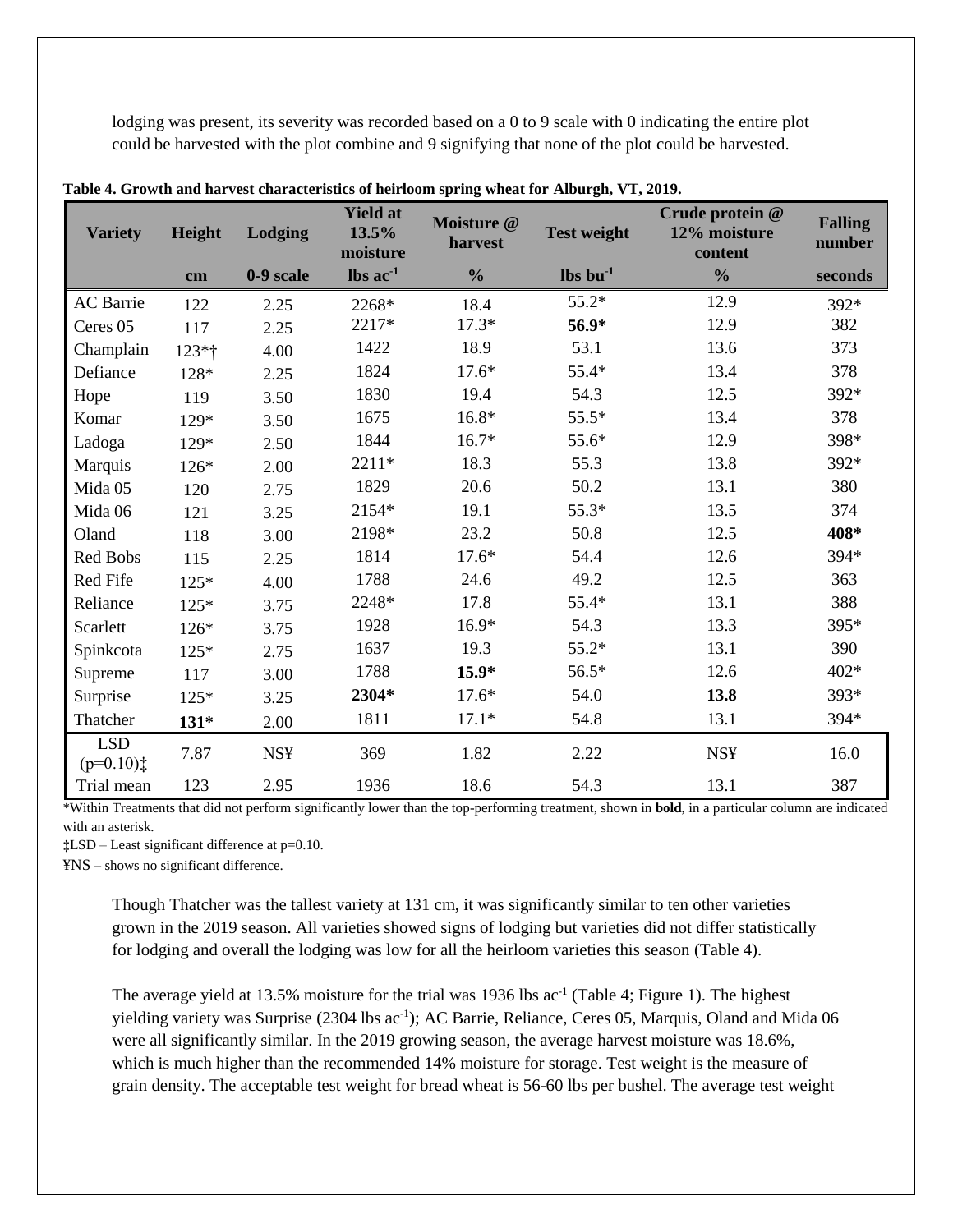lodging was present, its severity was recorded based on a 0 to 9 scale with 0 indicating the entire plot could be harvested with the plot combine and 9 signifying that none of the plot could be harvested.

| <b>Variety</b>           | <b>Height</b> | Lodging    | <b>Yield at</b><br>13.5%<br>moisture | Moisture @<br>harvest | <b>Test weight</b>               | Crude protein @<br>12% moisture<br>content | <b>Falling</b><br>number |
|--------------------------|---------------|------------|--------------------------------------|-----------------------|----------------------------------|--------------------------------------------|--------------------------|
|                          | cm            | 0-9 scale  | $\text{lbs}$ ac <sup>-1</sup>        | $\frac{0}{0}$         | $\mathbf{lbs}\,\mathbf{bu}^{-1}$ | $\frac{0}{0}$                              | seconds                  |
| <b>AC</b> Barrie         | 122           | 2.25       | 2268*                                | 18.4                  | 55.2*                            | 12.9                                       | 392*                     |
| Ceres 05                 | 117           | 2.25       | 2217*                                | $17.3*$               | 56.9*                            | 12.9                                       | 382                      |
| Champlain                | 123*†         | 4.00       | 1422                                 | 18.9                  | 53.1                             | 13.6                                       | 373                      |
| Defiance                 | 128*          | 2.25       | 1824                                 | $17.6*$               | 55.4*                            | 13.4                                       | 378                      |
| Hope                     | 119           | 3.50       | 1830                                 | 19.4                  | 54.3                             | 12.5                                       | 392*                     |
| Komar                    | 129*          | 3.50       | 1675                                 | $16.8*$               | 55.5*                            | 13.4                                       | 378                      |
| Ladoga                   | 129*          | 2.50       | 1844                                 | $16.7*$               | 55.6*                            | 12.9                                       | 398*                     |
| Marquis                  | 126*          | 2.00       | 2211*                                | 18.3                  | 55.3                             | 13.8                                       | 392*                     |
| Mida 05                  | 120           | 2.75       | 1829                                 | 20.6                  | 50.2                             | 13.1                                       | 380                      |
| Mida 06                  | 121           | 3.25       | 2154*                                | 19.1                  | 55.3*                            | 13.5                                       | 374                      |
| Oland                    | 118           | 3.00       | 2198*                                | 23.2                  | 50.8                             | 12.5                                       | 408*                     |
| Red Bobs                 | 115           | 2.25       | 1814                                 | $17.6*$               | 54.4                             | 12.6                                       | 394*                     |
| Red Fife                 | $125*$        | 4.00       | 1788                                 | 24.6                  | 49.2                             | 12.5                                       | 363                      |
| Reliance                 | $125*$        | 3.75       | 2248*                                | 17.8                  | 55.4*                            | 13.1                                       | 388                      |
| Scarlett                 | 126*          | 3.75       | 1928                                 | $16.9*$               | 54.3                             | 13.3                                       | 395*                     |
| Spinkcota                | 125*          | 2.75       | 1637                                 | 19.3                  | $55.2*$                          | 13.1                                       | 390                      |
| Supreme                  | 117           | 3.00       | 1788                                 | $15.9*$               | 56.5*                            | 12.6                                       | 402*                     |
| Surprise                 | 125*          | 3.25       | 2304*                                | $17.6*$               | 54.0                             | 13.8                                       | 393*                     |
| Thatcher                 | $131*$        | 2.00       | 1811                                 | $17.1*$               | 54.8                             | 13.1                                       | 394*                     |
| <b>LSD</b><br>$(p=0.10)$ | 7.87          | <b>NS¥</b> | 369                                  | 1.82                  | 2.22                             | <b>NS¥</b>                                 | 16.0                     |
| Trial mean               | 123           | 2.95       | 1936                                 | 18.6                  | 54.3                             | 13.1                                       | 387                      |

**Table 4. Growth and harvest characteristics of heirloom spring wheat for Alburgh, VT, 2019.**

\*Within Treatments that did not perform significantly lower than the top-performing treatment, shown in **bold**, in a particular column are indicated with an asterisk.

**‡**LSD – Least significant difference at p=0.10.

¥NS – shows no significant difference.

Though Thatcher was the tallest variety at 131 cm, it was significantly similar to ten other varieties grown in the 2019 season. All varieties showed signs of lodging but varieties did not differ statistically for lodging and overall the lodging was low for all the heirloom varieties this season (Table 4).

The average yield at 13.5% moisture for the trial was 1936 lbs  $ac^{-1}$  (Table 4; Figure 1). The highest yielding variety was Surprise (2304 lbs ac<sup>-1</sup>); AC Barrie, Reliance, Ceres 05, Marquis, Oland and Mida 06 were all significantly similar. In the 2019 growing season, the average harvest moisture was 18.6%, which is much higher than the recommended 14% moisture for storage. Test weight is the measure of grain density. The acceptable test weight for bread wheat is 56-60 lbs per bushel. The average test weight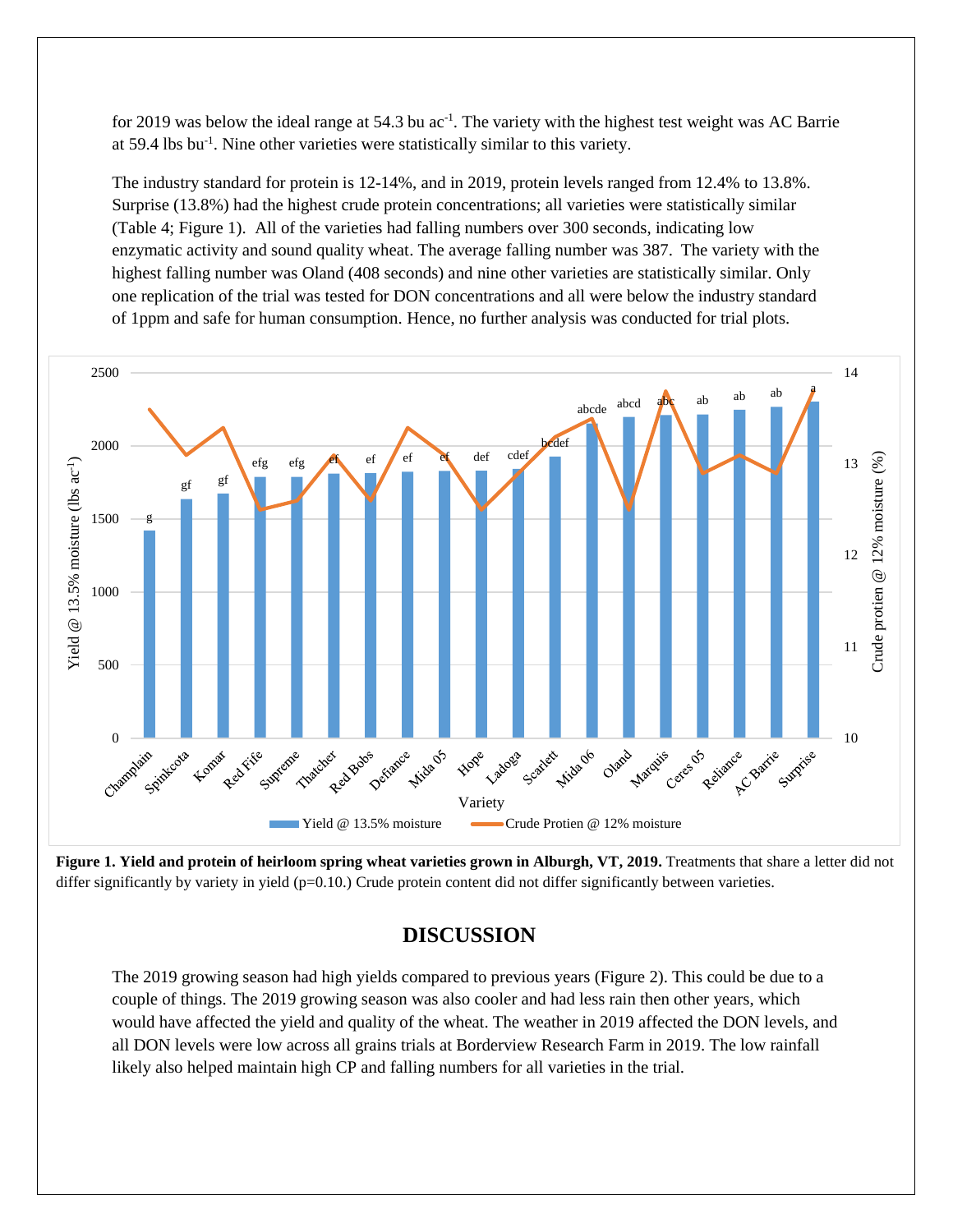for 2019 was below the ideal range at 54.3 bu  $ac^{-1}$ . The variety with the highest test weight was AC Barrie at 59.4 lbs bu-1 . Nine other varieties were statistically similar to this variety.

The industry standard for protein is 12-14%, and in 2019, protein levels ranged from 12.4% to 13.8%. Surprise (13.8%) had the highest crude protein concentrations; all varieties were statistically similar (Table 4; Figure 1). All of the varieties had falling numbers over 300 seconds, indicating low enzymatic activity and sound quality wheat. The average falling number was 387. The variety with the highest falling number was Oland (408 seconds) and nine other varieties are statistically similar. Only one replication of the trial was tested for DON concentrations and all were below the industry standard of 1ppm and safe for human consumption. Hence, no further analysis was conducted for trial plots.



**Figure 1. Yield and protein of heirloom spring wheat varieties grown in Alburgh, VT, 2019.** Treatments that share a letter did not differ significantly by variety in yield  $(p=0.10)$ . Crude protein content did not differ significantly between varieties.

# **DISCUSSION**

The 2019 growing season had high yields compared to previous years (Figure 2). This could be due to a couple of things. The 2019 growing season was also cooler and had less rain then other years, which would have affected the yield and quality of the wheat. The weather in 2019 affected the DON levels, and all DON levels were low across all grains trials at Borderview Research Farm in 2019. The low rainfall likely also helped maintain high CP and falling numbers for all varieties in the trial.